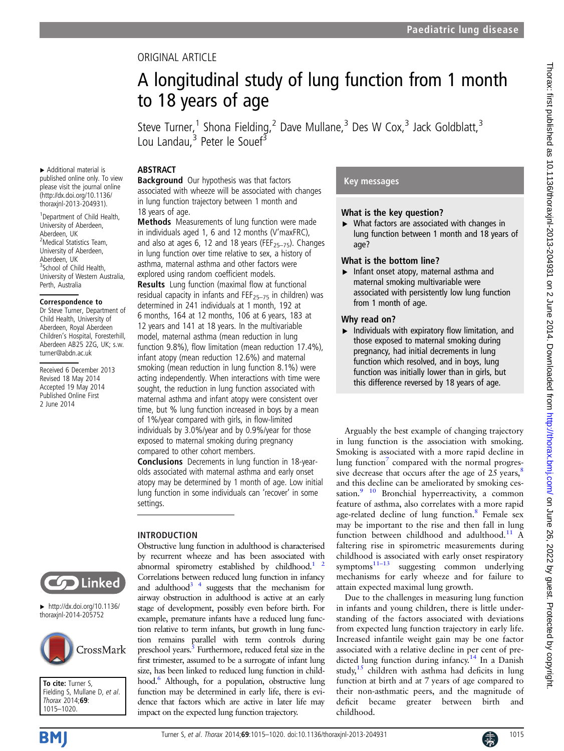## ORIGINAL ARTICLE

# A longitudinal study of lung function from 1 month to 18 years of age

Steve Turner,<sup>1</sup> Shona Fielding,<sup>2</sup> Dave Mullane,<sup>3</sup> Des W Cox,<sup>3</sup> Jack Goldblatt,<sup>3</sup> Lou Landau,<sup>3</sup> Peter le Souef<sup>3</sup>

## ABSTRACT

▸ Additional material is published online only. To view please visit the journal online [\(http://dx.doi.org/10.1136/](http://dx.doi.org/10.1136/thoraxjnl-2013-204931) [thoraxjnl-2013-204931\)](http://dx.doi.org/10.1136/thoraxjnl-2013-204931). 1 Department of Child Health, University of Aberdeen, Aberdeen, UK 2 Medical Statistics Team, University of Aberdeen, Aberdeen, UK <sup>3</sup>School of Child Health, University of Western Australia,

Perth, Australia

Correspondence to Dr Steve Turner, Department of Child Health, University of Aberdeen, Royal Aberdeen Children's Hospital, Foresterhill Aberdeen AB25 2ZG, UK; s.w. turner@abdn.ac.uk

Received 6 December 2013 Revised 18 May 2014 Accepted 19 May 2014 Published Online First 2 June 2014

**Background** Our hypothesis was that factors associated with wheeze will be associated with changes in lung function trajectory between 1 month and 18 years of age.

Methods Measurements of lung function were made in individuals aged 1, 6 and 12 months (V'maxFRC), and also at ages 6, 12 and 18 years (FEF<sub>25–75</sub>). Changes in lung function over time relative to sex, a history of asthma, maternal asthma and other factors were explored using random coefficient models.

Results Lung function (maximal flow at functional residual capacity in infants and  $FE_{25-75}$  in children) was determined in 241 individuals at 1 month, 192 at 6 months, 164 at 12 months, 106 at 6 years, 183 at 12 years and 141 at 18 years. In the multivariable model, maternal asthma (mean reduction in lung function 9.8%), flow limitation (mean reduction 17.4%), infant atopy (mean reduction 12.6%) and maternal smoking (mean reduction in lung function 8.1%) were acting independently. When interactions with time were sought, the reduction in lung function associated with maternal asthma and infant atopy were consistent over time, but % lung function increased in boys by a mean of 1%/year compared with girls, in flow-limited individuals by 3.0%/year and by 0.9%/year for those exposed to maternal smoking during pregnancy compared to other cohort members.

Conclusions Decrements in lung function in 18-yearolds associated with maternal asthma and early onset atopy may be determined by 1 month of age. Low initial lung function in some individuals can 'recover' in some settings.

Obstructive lung function in adulthood is characterised by recurrent wheeze and has been associated with abnormal spirometry established by childhood.<sup>1</sup> Correlations between reduced lung function in infancy and adulthood<sup>3</sup>  $4$  suggests that the mechanism for airway obstruction in adulthood is active at an early stage of development, possibly even before birth. For example, premature infants have a reduced lung function relative to term infants, but growth in lung function remains parallel with term controls during preschool years.<sup>5</sup> Furthermore, reduced fetal size in the first trimester, assumed to be a surrogate of infant lung size, has been linked to reduced lung function in childhood.<sup>6</sup> Although, for a population, obstructive lung function may be determined in early life, there is evidence that factors which are active in later life may impact on the expected lung function trajectory.

## INTRODUCTION

**Solution** Linked

 $\blacktriangleright$  [http://dx.doi.org/10.1136/](http://dx.doi.org/10.1136/thoraxjnl-2014-205752) [thoraxjnl-2014-205752](http://dx.doi.org/10.1136/thoraxjnl-2014-205752)



To cite: Turner S. Fielding S, Mullane D, et al. Thorax 2014;69: 1015–1020.

## Key messages

## What is the key question?

▸ What factors are associated with changes in lung function between 1 month and 18 years of age?

## What is the bottom line?

▸ Infant onset atopy, maternal asthma and maternal smoking multivariable were associated with persistently low lung function from 1 month of age.

#### Why read on?

 $\blacktriangleright$  Individuals with expiratory flow limitation, and those exposed to maternal smoking during pregnancy, had initial decrements in lung function which resolved, and in boys, lung function was initially lower than in girls, but this difference reversed by 18 years of age.

Arguably the best example of changing trajectory in lung function is the association with smoking. Smoking is associated with a more rapid decline in lung function $\sigma$  compared with the normal progressive decrease that occurs after the age of 25 years,  $8$ and this decline can be ameliorated by smoking cessation.<sup>9</sup> <sup>10</sup> Bronchial hyperreactivity, a common feature of asthma, also correlates with a more rapid age-related decline of lung function.<sup>[8](#page-5-0)</sup> Female sex may be important to the rise and then fall in lung function between childhood and adulthood.<sup>[11](#page-5-0)</sup> A faltering rise in spirometric measurements during childhood is associated with early onset respiratory  $symptoms<sup>11–13</sup>$  $symptoms<sup>11–13</sup>$  $symptoms<sup>11–13</sup>$  suggesting common underlying mechanisms for early wheeze and for failure to attain expected maximal lung growth.

Due to the challenges in measuring lung function in infants and young children, there is little understanding of the factors associated with deviations from expected lung function trajectory in early life. Increased infantile weight gain may be one factor associated with a relative decline in per cent of pre-dicted lung function during infancy.<sup>[14](#page-5-0)</sup> In a Danish study, $15$  children with asthma had deficits in lung function at birth and at 7 years of age compared to their non-asthmatic peers, and the magnitude of deficit became greater between birth and childhood.

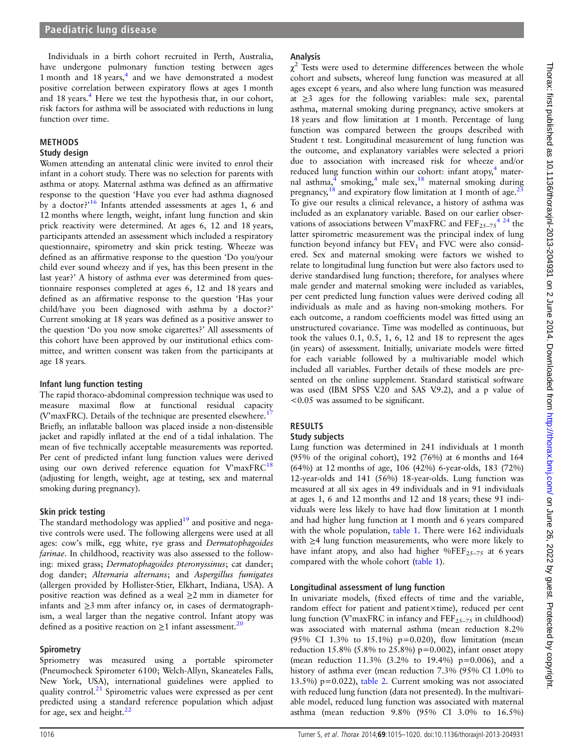Individuals in a birth cohort recruited in Perth, Australia, have undergone pulmonary function testing between ages 1 month and 18 years, $<sup>4</sup>$  $<sup>4</sup>$  $<sup>4</sup>$  and we have demonstrated a modest</sup> positive correlation between expiratory flows at ages 1 month and 18 years.<sup>4</sup> Here we test the hypothesis that, in our cohort, risk factors for asthma will be associated with reductions in lung function over time.

#### METHODS

#### Study design

Women attending an antenatal clinic were invited to enrol their infant in a cohort study. There was no selection for parents with asthma or atopy. Maternal asthma was defined as an affirmative response to the question 'Have you ever had asthma diagnosed by a doctor?<sup>'[16](#page-5-0)</sup> Infants attended assessments at ages 1, 6 and 12 months where length, weight, infant lung function and skin prick reactivity were determined. At ages 6, 12 and 18 years, participants attended an assessment which included a respiratory questionnaire, spirometry and skin prick testing. Wheeze was defined as an affirmative response to the question 'Do you/your child ever sound wheezy and if yes, has this been present in the last year?' A history of asthma ever was determined from questionnaire responses completed at ages 6, 12 and 18 years and defined as an affirmative response to the question 'Has your child/have you been diagnosed with asthma by a doctor?' Current smoking at 18 years was defined as a positive answer to the question 'Do you now smoke cigarettes?' All assessments of this cohort have been approved by our institutional ethics committee, and written consent was taken from the participants at age 18 years.

#### Infant lung function testing

The rapid thoraco-abdominal compression technique was used to measure maximal flow at functional residual capacity (V'maxFRC). Details of the technique are presented elsewhere.<sup>17</sup> Briefly, an inflatable balloon was placed inside a non-distensible jacket and rapidly inflated at the end of a tidal inhalation. The mean of five technically acceptable measurements was reported. Per cent of predicted infant lung function values were derived using our own derived reference equation for  $V'$ maxFRC $^{18}$  $^{18}$  $^{18}$ (adjusting for length, weight, age at testing, sex and maternal smoking during pregnancy).

#### Skin prick testing

The standard methodology was applied $19$  and positive and negative controls were used. The following allergens were used at all ages: cow's milk, egg white, rye grass and Dermatophagoides farinae. In childhood, reactivity was also assessed to the following: mixed grass; Dermatophagoides pteronyssinus; cat dander; dog dander; Alternaria alternans; and Aspergillus fumigates (allergen provided by Hollister-Stier, Elkhart, Indiana, USA). A positive reaction was defined as a weal ≥2 mm in diameter for infants and ≥3 mm after infancy or, in cases of dermatographism, a weal larger than the negative control. Infant atopy was defined as a positive reaction on  $\geq 1$  infant assessment.<sup>[20](#page-5-0)</sup>

#### **Spirometry**

Spriometry was measured using a portable spirometer (Pneumocheck Spirometer 6100; Welch-Allyn, Skaneateles Falls, New York, USA), international guidelines were applied to quality control.<sup>21</sup> Spirometric values were expressed as per cent predicted using a standard reference population which adjust for age, sex and height. $^{22}$ 

#### Analysis

 $\gamma^2$  Tests were used to determine differences between the whole cohort and subsets, whereof lung function was measured at all ages except 6 years, and also where lung function was measured at  $\geq$ 3 ages for the following variables: male sex, parental asthma, maternal smoking during pregnancy, active smokers at 18 years and flow limitation at 1 month. Percentage of lung function was compared between the groups described with Student t test. Longitudinal measurement of lung function was the outcome, and explanatory variables were selected a priori due to association with increased risk for wheeze and/or reduced lung function within our cohort: infant atopy, $4$  mater-nal asthma,<sup>[4](#page-5-0)</sup> smoking,<sup>4</sup> male sex,<sup>[18](#page-5-0)</sup> maternal smoking during pregnancy,  $^{18}$  $^{18}$  $^{18}$  and expiratory flow limitation at 1 month of age.<sup>[23](#page-5-0)</sup> To give our results a clinical relevance, a history of asthma was included as an explanatory variable. Based on our earlier observations of associations between V'maxFRC and  $\text{FEF}_{25-75}$ <sup>4</sup> <sup>24</sup> the latter spirometric measurement was the principal index of lung function beyond infancy but  $FEV<sub>1</sub>$  and  $FVC$  were also considered. Sex and maternal smoking were factors we wished to relate to longitudinal lung function but were also factors used to derive standardised lung function; therefore, for analyses where male gender and maternal smoking were included as variables, per cent predicted lung function values were derived coding all individuals as male and as having non-smoking mothers. For each outcome, a random coefficients model was fitted using an unstructured covariance. Time was modelled as continuous, but took the values 0.1, 0.5, 1, 6, 12 and 18 to represent the ages (in years) of assessment. Initially, univariate models were fitted for each variable followed by a multivariable model which included all variables. Further details of these models are presented on the online supplement. Standard statistical software was used (IBM SPSS V.20 and SAS V.9.2), and a p value of <0.05 was assumed to be significant.

## RESULTS

#### Study subjects

Lung function was determined in 241 individuals at 1 month (95% of the original cohort), 192 (76%) at 6 months and 164 (64%) at 12 months of age, 106 (42%) 6-year-olds, 183 (72%) 12-year-olds and 141 (56%) 18-year-olds. Lung function was measured at all six ages in 49 individuals and in 91 individuals at ages 1, 6 and 12 months and 12 and 18 years; these 91 individuals were less likely to have had flow limitation at 1 month and had higher lung function at 1 month and 6 years compared with the whole population, [table 1.](#page-2-0) There were 162 individuals with ≥4 lung function measurements, who were more likely to have infant atopy, and also had higher %FEF<sub>25–75</sub> at 6 years compared with the whole cohort ([table 1](#page-2-0)).

#### Longitudinal assessment of lung function

In univariate models, (fixed effects of time and the variable, random effect for patient and patient×time), reduced per cent lung function (V'maxFRC in infancy and  $FEF_{25-75}$  in childhood) was associated with maternal asthma (mean reduction 8.2% (95% CI 1.3% to 15.1%) p=0.020), flow limitation (mean reduction 15.8% (5.8% to 25.8%) p=0.002), infant onset atopy (mean reduction 11.3% (3.2% to 19.4%) p=0.006), and a history of asthma ever (mean reduction 7.3% (95% CI 1.0% to 13.5%) p=0.022), [table 2.](#page-3-0) Current smoking was not associated with reduced lung function (data not presented). In the multivariable model, reduced lung function was associated with maternal asthma (mean reduction 9.8% (95% CI 3.0% to 16.5%)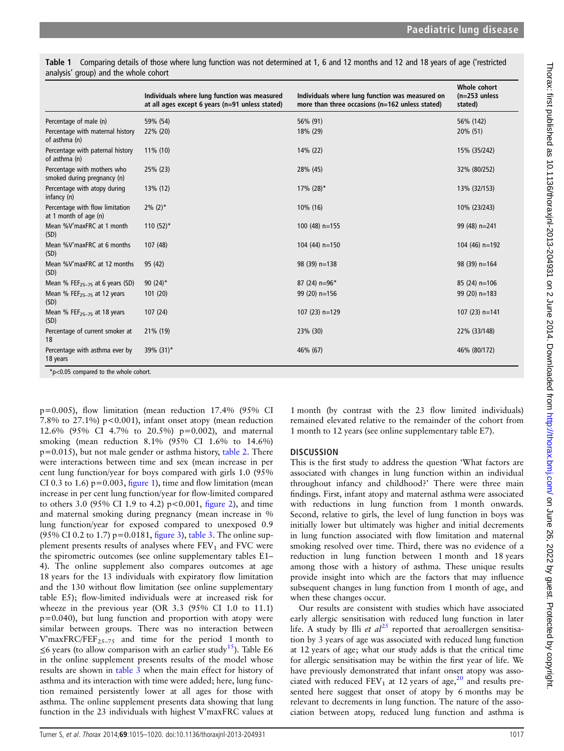<span id="page-2-0"></span>Table 1 Comparing details of those where lung function was not determined at 1, 6 and 12 months and 12 and 18 years of age ('restricted analysis' group) and the whole cohort

|                                                            | Individuals where lung function was measured<br>at all ages except 6 years (n=91 unless stated) | Individuals where lung function was measured on<br>more than three occasions (n=162 unless stated) | Whole cohort<br>$(n=253$ unless<br>stated) |
|------------------------------------------------------------|-------------------------------------------------------------------------------------------------|----------------------------------------------------------------------------------------------------|--------------------------------------------|
| Percentage of male (n)                                     | 59% (54)                                                                                        | 56% (91)                                                                                           | 56% (142)                                  |
| Percentage with maternal history<br>of asthma (n)          | 22% (20)                                                                                        | 18% (29)                                                                                           | 20% (51)                                   |
| Percentage with paternal history<br>of asthma (n)          | 11% (10)                                                                                        | 14% (22)                                                                                           | 15% (35/242)                               |
| Percentage with mothers who<br>smoked during pregnancy (n) | 25% (23)                                                                                        | 28% (45)                                                                                           | 32% (80/252)                               |
| Percentage with atopy during<br>infancy (n)                | 13% (12)                                                                                        | $17\%$ (28) <sup>*</sup>                                                                           | 13% (32/153)                               |
| Percentage with flow limitation<br>at 1 month of age (n)   | $2\%$ (2) <sup>*</sup>                                                                          | 10% (16)                                                                                           | 10% (23/243)                               |
| Mean %V'maxFRC at 1 month<br>(SD)                          | 110 $(52)^*$                                                                                    | $100(48)$ n=155                                                                                    | 99 (48) n=241                              |
| Mean %V'maxFRC at 6 months<br>(SD)                         | 107 (48)                                                                                        | $104(44)$ n=150                                                                                    | 104 (46) $n=192$                           |
| Mean %V'maxFRC at 12 months<br>(SD)                        | 95 (42)                                                                                         | 98 (39) n=138                                                                                      | $98(39) n=164$                             |
| Mean % FEF $_{25-75}$ at 6 years (SD)                      | 90 $(24)^*$                                                                                     | 87 (24) n=96*                                                                                      | $85(24)$ n=106                             |
| Mean % FEF <sub>25-75</sub> at 12 years<br>(SD)            | 101(20)                                                                                         | $99(20)$ n=156                                                                                     | $99(20)$ n=183                             |
| Mean % FEF <sub>25-75</sub> at 18 years<br>(SD)            | 107(24)                                                                                         | 107 $(23)$ n=129                                                                                   | 107 $(23)$ n=141                           |
| Percentage of current smoker at<br>18                      | 21% (19)                                                                                        | 23% (30)                                                                                           | 22% (33/148)                               |
| Percentage with asthma ever by<br>18 years                 | 39% (31)*                                                                                       | 46% (67)                                                                                           | 46% (80/172)                               |

\*p<0.05 compared to the whole cohort.

p=0.005), flow limitation (mean reduction 17.4% (95% CI 7.8% to 27.1%)  $p < 0.001$ , infant onset atopy (mean reduction 12.6% (95% CI 4.7% to 20.5%) p=0.002), and maternal smoking (mean reduction 8.1% (95% CI 1.6% to 14.6%)  $p=0.015$ ), but not male gender or asthma history, [table 2](#page-3-0). There were interactions between time and sex (mean increase in per cent lung function/year for boys compared with girls 1.0 (95% CI 0.3 to 1.6)  $p=0.003$ , fi[gure 1](#page-3-0)), time and flow limitation (mean increase in per cent lung function/year for flow-limited compared to others 3.0 (95% CI 1.9 to 4.2)  $p < 0.001$ , fi[gure 2](#page-3-0)), and time and maternal smoking during pregnancy (mean increase in % lung function/year for exposed compared to unexposed 0.9 (95% CI 0.2 to 1.7)  $p=0.0181$ , fi[gure 3\)](#page-4-0), [table 3.](#page-4-0) The online supplement presents results of analyses where  $FEV<sub>1</sub>$  and  $FVC$  were the spirometric outcomes (see online supplementary tables E1– 4). The online supplement also compares outcomes at age 18 years for the 13 individuals with expiratory flow limitation and the 130 without flow limitation (see online supplementary table E5); flow-limited individuals were at increased risk for wheeze in the previous year (OR 3.3 (95% CI 1.0 to 11.1) p=0.040), but lung function and proportion with atopy were similar between groups. There was no interaction between V'maxFRC/FEF<sub>25-75</sub> and time for the period 1 month to ≤6 years (to allow comparison with an earlier study<sup>[15](#page-5-0)</sup>). Table E6 in the online supplement presents results of the model whose results are shown in [table 3](#page-4-0) when the main effect for history of asthma and its interaction with time were added; here, lung function remained persistently lower at all ages for those with asthma. The online supplement presents data showing that lung function in the 23 individuals with highest V'maxFRC values at

1 month (by contrast with the 23 flow limited individuals) remained elevated relative to the remainder of the cohort from 1 month to 12 years (see online supplementary table E7).

#### **DISCUSSION**

This is the first study to address the question 'What factors are associated with changes in lung function within an individual throughout infancy and childhood?' There were three main findings. First, infant atopy and maternal asthma were associated with reductions in lung function from 1 month onwards. Second, relative to girls, the level of lung function in boys was initially lower but ultimately was higher and initial decrements in lung function associated with flow limitation and maternal smoking resolved over time. Third, there was no evidence of a reduction in lung function between 1 month and 18 years among those with a history of asthma. These unique results provide insight into which are the factors that may influence subsequent changes in lung function from 1 month of age, and when these changes occur.

Our results are consistent with studies which have associated early allergic sensitisation with reduced lung function in later life. A study by Illi et  $al^{25}$  $al^{25}$  $al^{25}$  reported that aeroallergen sensitisation by 3 years of age was associated with reduced lung function at 12 years of age; what our study adds is that the critical time for allergic sensitisation may be within the first year of life. We have previously demonstrated that infant onset atopy was associated with reduced  $FEV_1$  at 12 years of age,<sup>[20](#page-5-0)</sup> and results presented here suggest that onset of atopy by 6 months may be relevant to decrements in lung function. The nature of the association between atopy, reduced lung function and asthma is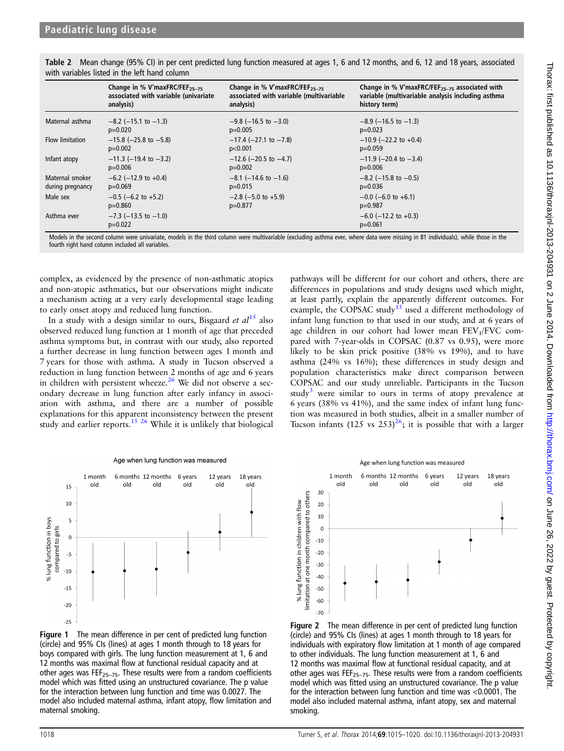|                        | Change in % V'maxFRC/FEF <sub>25-75</sub> | Change in % V'maxFRC/FEF <sub>25-75</sub> | Change in % V'maxFRC/FEF <sub>25-75</sub> associated with |
|------------------------|-------------------------------------------|-------------------------------------------|-----------------------------------------------------------|
|                        | associated with variable (univariate      | associated with variable (multivariable   | variable (multivariable analysis including asthma         |
|                        | analysis)                                 | analysis)                                 | history term)                                             |
| Maternal asthma        | $-8.2$ ( $-15.1$ to $-1.3$ )              | $-9.8$ (-16.5 to -3.0)                    | $-8.9$ (-16.5 to -1.3)                                    |
|                        | $p=0.020$                                 | $p=0.005$                                 | $p=0.023$                                                 |
| <b>Flow limitation</b> | $-15.8$ ( $-25.8$ to $-5.8$ )             | $-17.4$ (-27.1 to -7.8)                   | $-10.9$ (-22.2 to +0.4)                                   |
|                        | $p=0.002$                                 | p<0.001                                   | $p=0.059$                                                 |
| Infant atopy           | $-11.3$ (-19.4 to -3.2)                   | $-12.6$ (-20.5 to -4.7)                   | $-11.9$ (-20.4 to -3.4)                                   |
|                        | $p=0.006$                                 | $p=0.002$                                 | $p=0.006$                                                 |
| Maternal smoker        | $-6.2$ (-12.9 to +0.4)                    | $-8.1$ (-14.6 to -1.6)                    | $-8.2$ (-15.8 to -0.5)                                    |
| during pregnancy       | $p=0.069$                                 | $p=0.015$                                 | $p=0.036$                                                 |
| Male sex               | $-0.5$ (-6.2 to +5.2)                     | $-2.8$ ( $-5.0$ to $+5.9$ )               | $-0.0$ (-6.0 to +6.1)                                     |
|                        | $p=0.860$                                 | $p=0.877$                                 | $p=0.987$                                                 |
| Asthma ever            | $-7.3$ ( $-13.5$ to $-1.0$ )<br>$p=0.022$ |                                           | $-6.0$ ( $-12.2$ to $+0.3$ )<br>$p=0.061$                 |

<span id="page-3-0"></span>Table 2 Mean change (95% CI) in per cent predicted lung function measured at ages 1, 6 and 12 months, and 6, 12 and 18 years, associated with variables listed in the left hand column

Models in the second column were univariate, models in the third column were multivariable (excluding asthma ever, where data were missing in 81 individuals), while those in the fourth right hand column included all variables

complex, as evidenced by the presence of non-asthmatic atopics and non-atopic asthmatics, but our observations might indicate a mechanism acting at a very early developmental stage leading to early onset atopy and reduced lung function.

In a study with a design similar to ours, Bisgaard *et al*<sup>[15](#page-5-0)</sup> also observed reduced lung function at 1 month of age that preceded asthma symptoms but, in contrast with our study, also reported a further decrease in lung function between ages 1 month and 7 years for those with asthma. A study in Tucson observed a reduction in lung function between 2 months of age and 6 years in children with persistent wheeze.<sup>26</sup> We did not observe a secondary decrease in lung function after early infancy in association with asthma, and there are a number of possible explanations for this apparent inconsistency between the present study and earlier reports.<sup>[15 26](#page-5-0)</sup> While it is unlikely that biological

pathways will be different for our cohort and others, there are differences in populations and study designs used which might, at least partly, explain the apparently different outcomes. For example, the COPSAC study<sup>[15](#page-5-0)</sup> used a different methodology of infant lung function to that used in our study, and at 6 years of age children in our cohort had lower mean FEV<sub>1</sub>/FVC compared with 7-year-olds in COPSAC (0.87 vs 0.95), were more likely to be skin prick positive (38% vs 19%), and to have asthma (24% vs 16%); these differences in study design and population characteristics make direct comparison between COPSAC and our study unreliable. Participants in the Tucson study<sup>[3](#page-5-0)</sup> were similar to ours in terms of atopy prevalence at 6 years (38% vs 41%), and the same index of infant lung function was measured in both studies, albeit in a smaller number of Tucson infants  $(125 \text{ vs } 253)^{26}$ ; it is possible that with a larger



Age when lung function was measured

Figure 1 The mean difference in per cent of predicted lung function (circle) and 95% CIs (lines) at ages 1 month through to 18 years for boys compared with girls. The lung function measurement at 1, 6 and 12 months was maximal flow at functional residual capacity and at other ages was  $FEF_{25-75}$ . These results were from a random coefficients model which was fitted using an unstructured covariance. The p value for the interaction between lung function and time was 0.0027. The model also included maternal asthma, infant atopy, flow limitation and maternal smoking.



Figure 2 The mean difference in per cent of predicted lung function (circle) and 95% CIs (lines) at ages 1 month through to 18 years for individuals with expiratory flow limitation at 1 month of age compared to other individuals. The lung function measurement at 1, 6 and 12 months was maximal flow at functional residual capacity, and at other ages was FEF<sub>25–75</sub>. These results were from a random coefficients model which was fitted using an unstructured covariance. The p value for the interaction between lung function and time was <0.0001. The model also included maternal asthma, infant atopy, sex and maternal smoking.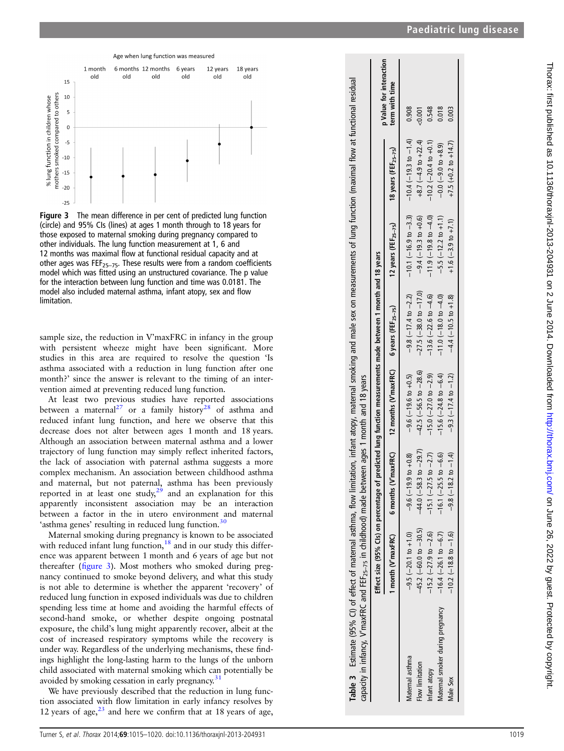Paediatric lung disease

<span id="page-4-0"></span>Age when lung function was measured  $1$  month 6 months 12 months 18 years 6 years 12 years old old old old old old  $15$ mothers smoked compared to others 10 % lung function in children whose  $\overline{5}$  $\overline{0}$  $\bar{z}$  $-10$  $-15$  $-20$  $-25$ 

Figure 3 The mean difference in per cent of predicted lung function (circle) and 95% CIs (lines) at ages 1 month through to 18 years for those exposed to maternal smoking during pregnancy compared to other individuals. The lung function measurement at 1, 6 and 12 months was maximal flow at functional residual capacity and at other ages was FEF<sub>25-75</sub>. These results were from a random coefficients model which was fitted using an unstructured covariance. The p value for the interaction between lung function and time was 0.0181. The model also included maternal asthma, infant atopy, sex and flow limitation.

sample size, the reduction in V'maxFRC in infancy in the group with persistent wheeze might have been signi ficant. More studies in this area are required to resolve the question 'Is asthma associated with a reduction in lung function after one month? ' since the answer is relevant to the timing of an intervention aimed at preventing reduced lung function.

At least two previous studies have reported associations between a maternal<sup>27</sup> or a family history<sup>28</sup> of asthma and reduced infant lung function, and here we observe that this decrease does not alter between ages 1 month and 18 years. Although an association between maternal asthma and a lower trajectory of lung function may simply re flect inherited factors, the lack of association with paternal asthma suggests a more complex mechanism. An association between childhood asthma and maternal, but not paternal, asthma has been previously reported in at least one study,  $2^9$  and an explanation for this apparently inconsistent association may be an interaction between a factor in the in utero environment and maternal 'asthma genes' resulting in reduced lung function.<sup>[30](#page-5-0)</sup>

Maternal smoking during pregnancy is known to be associated with reduced infant lung function,<sup>[18](#page-5-0)</sup> and in our study this difference was apparent between 1 month and 6 years of age but not thereafter (figure 3). Most mothers who smoked during pregnancy continued to smoke beyond delivery, and what this study is not able to determine is whether the apparent 'recovery' of reduced lung function in exposed individuals was due to children spending less time at home and avoiding the harmful effects of second-hand smoke, or whether despite ongoing postnatal exposure, the child 's lung might apparently recover, albeit at the cost of increased respiratory symptoms while the recovery is under way. Regardless of the underlying mechanisms, these findings highlight the long-lasting harm to the lungs of the unborn child associated with maternal smoking which can potentially be avoided by smoking cessation in early pregnancy.<sup>[31](#page-5-0)</sup>

We have previously described that the reduction in lung function associated with flow limitation in early infancy resolves by 12 years of age, $^{23}$  $^{23}$  $^{23}$  and here we confirm that at 18 years of age,

| Table 3 Estimate (95% CI) of effect of maternal asthma, flow limitation, infant atopy, maternal smoking and male sex on measurements of lung function (maximal flow at functional residual<br>capacity in infancy, V'maxFRC and FEF <sub>25-75</sub> in childhood) made between ages 1 month and 18 years |                               | Effect size (95% CIs) on percentage of predicted lung function measurements made between 1 month and 18 years |                                |                                 |                                                       |                             |                                           |
|-----------------------------------------------------------------------------------------------------------------------------------------------------------------------------------------------------------------------------------------------------------------------------------------------------------|-------------------------------|---------------------------------------------------------------------------------------------------------------|--------------------------------|---------------------------------|-------------------------------------------------------|-----------------------------|-------------------------------------------|
|                                                                                                                                                                                                                                                                                                           |                               | 1 month (V'maxFRC) 6 months (V'maxFRC) 12 months (V'maxFRC) 6 years (FEF $_{25-75}$ )                         |                                |                                 | 12 years (FEF $_{25-75}$ ) 18 years (FEF $_{25-75}$ ) |                             | p Value for interaction<br>term with time |
| Vlatemal asthma                                                                                                                                                                                                                                                                                           | $-9.5(-20.1$ to $+1.0$        | $-9.6(-19.9 t0 + 0.8)$                                                                                        | $-9.6(-19.6 \text{ to } +0.5)$ | $-9.8(-17.4$ to $-2.2)$         | $-10.1(-16.9$ to $-3.3)$                              | $-10.4$ (-19.3 to -1.4)     | 0.908                                     |
| Flow limitation                                                                                                                                                                                                                                                                                           | $-45.2$ (-60.0 to $-30.5$ )   | $to -29.7$<br>$-44.0(-58.3)$                                                                                  | $-42.5$ (-56.5 to $-28.6$ )    | $-27.5$ ( $-38.0$ to $-17.0$ )  | $-9.4 (-19.3 \text{ to } +0.6)$                       | $+8.7 (-4.9$ to $+22.4)$    | < 0.001                                   |
| Infant atopy                                                                                                                                                                                                                                                                                              | $-15.2$ ( $-27.9$ to $-2.6$ ) | to $-2.7$ )<br>$-15.1(-27.5)$                                                                                 | $-15.0$ $(-27.0$ to $-2.9)$    | $-13.6(-22.6$ to $-4.6)$        | $-11.9(-19.8 \text{ to } -4.0)$                       | $-10.2$ $(-20.4$ to $+0.1)$ | 0.548                                     |
| Matemal smoker during pregnancy                                                                                                                                                                                                                                                                           | $-16.4(-26.1$ to $-6.7)$      | $to -6.6$<br>$-16.1(-25.5$                                                                                    | $-15.6(-24.8$ to $-6.4)$       | $-11.0(-18.0 \text{ to } -4.0)$ | $-5.5(-12.2 \text{ to } +1.1)$                        | $-0.0(-9.0 t 0 + 8.9)$      | 0.018                                     |
| Male Sex                                                                                                                                                                                                                                                                                                  | $-10.2$ ( $-18.8$ to $-1.6$ ) | $-9.8(-18.2 \text{ to } -1.4)$                                                                                | $-9.3(-17.4 \text{ to } -1.2)$ | $-4.4 (-10.5 \text{ to } +1.8)$ | $+1.6(-3.9 \text{ to } +7.1)$                         | $+7.5 (+0.2 to +14.7)$      | 0.003                                     |